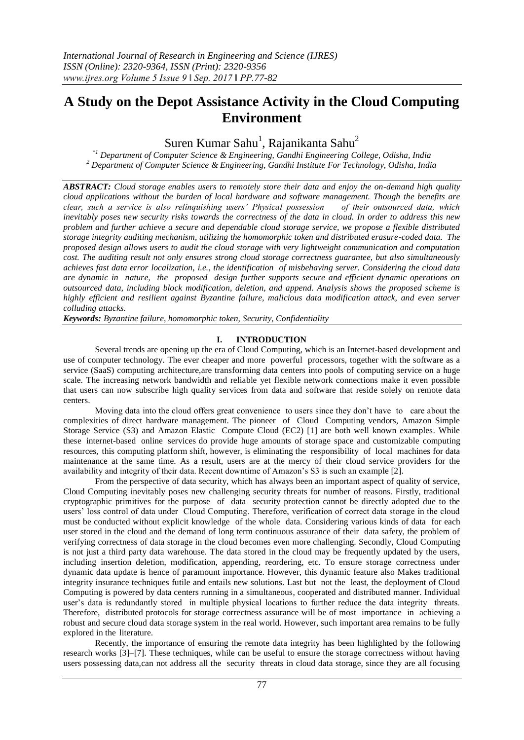# **A Study on the Depot Assistance Activity in the Cloud Computing Environment**

# Suren Kumar Sahu<sup>1</sup>, Rajanikanta Sahu<sup>2</sup>

*\*1 Department of Computer Science & Engineering, Gandhi Engineering College, Odisha, India <sup>2</sup> Department of Computer Science & Engineering, Gandhi Institute For Technology, Odisha, India*

*ABSTRACT: Cloud storage enables users to remotely store their data and enjoy the on-demand high quality cloud applications without the burden of local hardware and software management. Though the benefits are clear, such a service is also relinquishing users' Physical possession of their outsourced data, which inevitably poses new security risks towards the correctness of the data in cloud. In order to address this new problem and further achieve a secure and dependable cloud storage service, we propose a flexible distributed storage integrity auditing mechanism, utilizing the homomorphic token and distributed erasure-coded data. The proposed design allows users to audit the cloud storage with very lightweight communication and computation cost. The auditing result not only ensures strong cloud storage correctness guarantee, but also simultaneously achieves fast data error localization, i.e., the identification of misbehaving server. Considering the cloud data are dynamic in nature, the proposed design further supports secure and efficient dynamic operations on outsourced data, including block modification, deletion, and append. Analysis shows the proposed scheme is highly efficient and resilient against Byzantine failure, malicious data modification attack, and even server colluding attacks.*

*Keywords: Byzantine failure, homomorphic token, Security, Confidentiality*

# **I. INTRODUCTION**

Several trends are opening up the era of Cloud Computing, which is an Internet-based development and use of computer technology. The ever cheaper and more powerful processors, together with the software as a service (SaaS) computing architecture,are transforming data centers into pools of computing service on a huge scale. The increasing network bandwidth and reliable yet flexible network connections make it even possible that users can now subscribe high quality services from data and software that reside solely on remote data centers.

Moving data into the cloud offers great convenience to users since they don't have to care about the complexities of direct hardware management. The pioneer of Cloud Computing vendors, Amazon Simple Storage Service (S3) and Amazon Elastic Compute Cloud (EC2) [1] are both well known examples. While these internet-based online services do provide huge amounts of storage space and customizable computing resources, this computing platform shift, however, is eliminating the responsibility of local machines for data maintenance at the same time. As a result, users are at the mercy of their cloud service providers for the availability and integrity of their data. Recent downtime of Amazon's S3 is such an example [2].

From the perspective of data security, which has always been an important aspect of quality of service, Cloud Computing inevitably poses new challenging security threats for number of reasons. Firstly, traditional cryptographic primitives for the purpose of data security protection cannot be directly adopted due to the users' loss control of data under Cloud Computing. Therefore, verification of correct data storage in the cloud must be conducted without explicit knowledge of the whole data. Considering various kinds of data for each user stored in the cloud and the demand of long term continuous assurance of their data safety, the problem of verifying correctness of data storage in the cloud becomes even more challenging. Secondly, Cloud Computing is not just a third party data warehouse. The data stored in the cloud may be frequently updated by the users, including insertion deletion, modification, appending, reordering, etc. To ensure storage correctness under dynamic data update is hence of paramount importance. However, this dynamic feature also Makes traditional integrity insurance techniques futile and entails new solutions. Last but not the least, the deployment of Cloud Computing is powered by data centers running in a simultaneous, cooperated and distributed manner. Individual user's data is redundantly stored in multiple physical locations to further reduce the data integrity threats. Therefore, distributed protocols for storage correctness assurance will be of most importance in achieving a robust and secure cloud data storage system in the real world. However, such important area remains to be fully explored in the literature.

Recently, the importance of ensuring the remote data integrity has been highlighted by the following research works [3]–[7]. These techniques, while can be useful to ensure the storage correctness without having users possessing data,can not address all the security threats in cloud data storage, since they are all focusing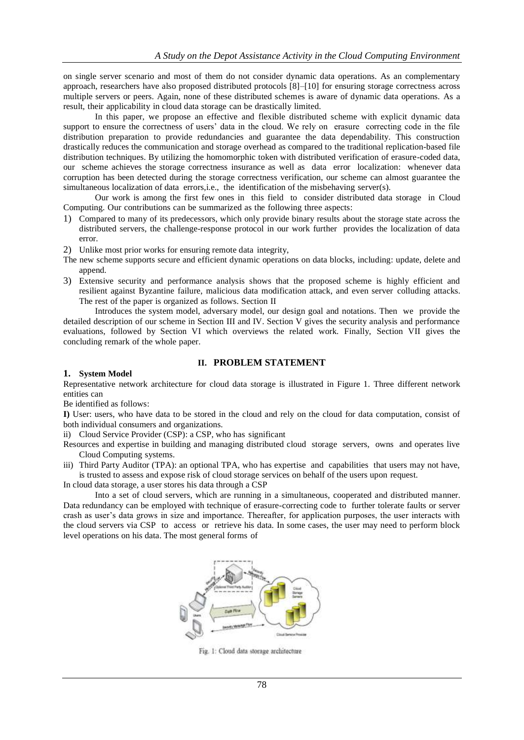on single server scenario and most of them do not consider dynamic data operations. As an complementary approach, researchers have also proposed distributed protocols [8]–[10] for ensuring storage correctness across multiple servers or peers. Again, none of these distributed schemes is aware of dynamic data operations. As a result, their applicability in cloud data storage can be drastically limited.

In this paper, we propose an effective and flexible distributed scheme with explicit dynamic data support to ensure the correctness of users' data in the cloud. We rely on erasure correcting code in the file distribution preparation to provide redundancies and guarantee the data dependability. This construction drastically reduces the communication and storage overhead as compared to the traditional replication-based file distribution techniques. By utilizing the homomorphic token with distributed verification of erasure-coded data, our scheme achieves the storage correctness insurance as well as data error localization: whenever data corruption has been detected during the storage correctness verification, our scheme can almost guarantee the simultaneous localization of data errors, i.e., the identification of the misbehaving server(s).

Our work is among the first few ones in this field to consider distributed data storage in Cloud Computing. Our contributions can be summarized as the following three aspects:

- 1) Compared to many of its predecessors, which only provide binary results about the storage state across the distributed servers, the challenge-response protocol in our work further provides the localization of data error.
- 2) Unlike most prior works for ensuring remote data integrity,
- The new scheme supports secure and efficient dynamic operations on data blocks, including: update, delete and append.
- 3) Extensive security and performance analysis shows that the proposed scheme is highly efficient and resilient against Byzantine failure, malicious data modification attack, and even server colluding attacks. The rest of the paper is organized as follows. Section II

Introduces the system model, adversary model, our design goal and notations. Then we provide the detailed description of our scheme in Section III and IV. Section V gives the security analysis and performance evaluations, followed by Section VI which overviews the related work. Finally, Section VII gives the concluding remark of the whole paper.

## **II. PROBLEM STATEMENT**

#### **1. System Model**

Representative network architecture for cloud data storage is illustrated in Figure 1. Three different network entities can

Be identified as follows:

**I)** User: users, who have data to be stored in the cloud and rely on the cloud for data computation, consist of both individual consumers and organizations.

ii) Cloud Service Provider (CSP): a CSP, who has significant

Resources and expertise in building and managing distributed cloud storage servers, owns and operates live Cloud Computing systems.

iii) Third Party Auditor (TPA): an optional TPA, who has expertise and capabilities that users may not have, is trusted to assess and expose risk of cloud storage services on behalf of the users upon request.

In cloud data storage, a user stores his data through a CSP

Into a set of cloud servers, which are running in a simultaneous, cooperated and distributed manner. Data redundancy can be employed with technique of erasure-correcting code to further tolerate faults or server crash as user's data grows in size and importance. Thereafter, for application purposes, the user interacts with the cloud servers via CSP to access or retrieve his data. In some cases, the user may need to perform block level operations on his data. The most general forms of



Fig. 1: Cloud data storage architecture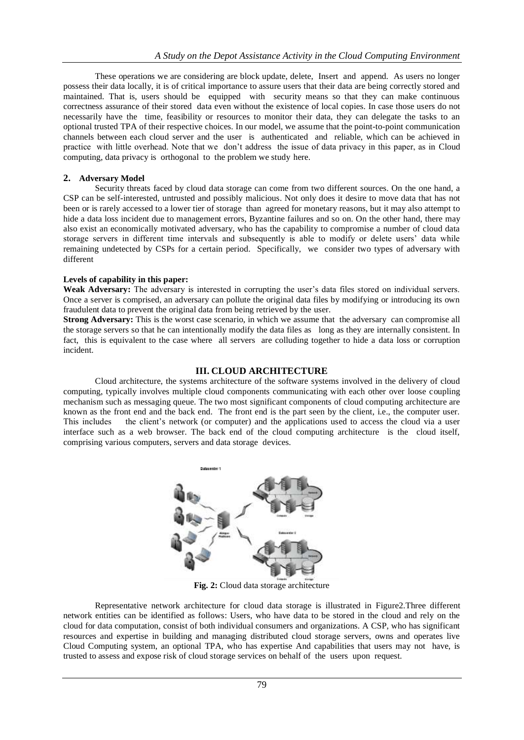These operations we are considering are block update, delete, Insert and append. As users no longer possess their data locally, it is of critical importance to assure users that their data are being correctly stored and maintained. That is, users should be equipped with security means so that they can make continuous correctness assurance of their stored data even without the existence of local copies. In case those users do not necessarily have the time, feasibility or resources to monitor their data, they can delegate the tasks to an optional trusted TPA of their respective choices. In our model, we assume that the point-to-point communication channels between each cloud server and the user is authenticated and reliable, which can be achieved in practice with little overhead. Note that we don't address the issue of data privacy in this paper, as in Cloud computing, data privacy is orthogonal to the problem we study here.

## **2. Adversary Model**

Security threats faced by cloud data storage can come from two different sources. On the one hand, a CSP can be self-interested, untrusted and possibly malicious. Not only does it desire to move data that has not been or is rarely accessed to a lower tier of storage than agreed for monetary reasons, but it may also attempt to hide a data loss incident due to management errors, Byzantine failures and so on. On the other hand, there may also exist an economically motivated adversary, who has the capability to compromise a number of cloud data storage servers in different time intervals and subsequently is able to modify or delete users' data while remaining undetected by CSPs for a certain period. Specifically, we consider two types of adversary with different

## **Levels of capability in this paper:**

**Weak Adversary:** The adversary is interested in corrupting the user's data files stored on individual servers. Once a server is comprised, an adversary can pollute the original data files by modifying or introducing its own fraudulent data to prevent the original data from being retrieved by the user.

**Strong Adversary:** This is the worst case scenario, in which we assume that the adversary can compromise all the storage servers so that he can intentionally modify the data files as long as they are internally consistent. In fact, this is equivalent to the case where all servers are colluding together to hide a data loss or corruption incident.

## **III. CLOUD ARCHITECTURE**

Cloud architecture, the systems architecture of the software systems involved in the delivery of cloud computing, typically involves multiple cloud components communicating with each other over loose coupling mechanism such as messaging queue. The two most significant components of cloud computing architecture are known as the front end and the back end. The front end is the part seen by the client, i.e., the computer user. This includes the client's network (or computer) and the applications used to access the cloud via a user interface such as a web browser. The back end of the cloud computing architecture is the cloud itself, comprising various computers, servers and data storage devices.



**Fig. 2:** Cloud data storage architecture

Representative network architecture for cloud data storage is illustrated in Figure2.Three different network entities can be identified as follows: Users, who have data to be stored in the cloud and rely on the cloud for data computation, consist of both individual consumers and organizations. A CSP, who has significant resources and expertise in building and managing distributed cloud storage servers, owns and operates live Cloud Computing system, an optional TPA, who has expertise And capabilities that users may not have, is trusted to assess and expose risk of cloud storage services on behalf of the users upon request.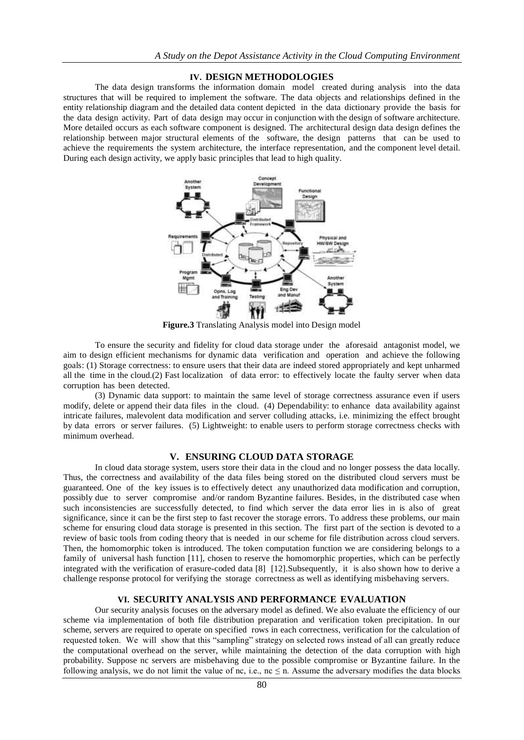#### **IV. DESIGN METHODOLOGIES**

The data design transforms the information domain model created during analysis into the data structures that will be required to implement the software. The data objects and relationships defined in the entity relationship diagram and the detailed data content depicted in the data dictionary provide the basis for the data design activity. Part of data design may occur in conjunction with the design of software architecture. More detailed occurs as each software component is designed. The architectural design data design defines the relationship between major structural elements of the software, the design patterns that can be used to achieve the requirements the system architecture, the interface representation, and the component level detail. During each design activity, we apply basic principles that lead to high quality.



**Figure.3** Translating Analysis model into Design model

To ensure the security and fidelity for cloud data storage under the aforesaid antagonist model, we aim to design efficient mechanisms for dynamic data verification and operation and achieve the following goals: (1) Storage correctness: to ensure users that their data are indeed stored appropriately and kept unharmed all the time in the cloud.(2) Fast localization of data error: to effectively locate the faulty server when data corruption has been detected.

(3) Dynamic data support: to maintain the same level of storage correctness assurance even if users modify, delete or append their data files in the cloud. (4) Dependability: to enhance data availability against intricate failures, malevolent data modification and server colluding attacks, i.e. minimizing the effect brought by data errors or server failures. (5) Lightweight: to enable users to perform storage correctness checks with minimum overhead.

#### **V. ENSURING CLOUD DATA STORAGE**

In cloud data storage system, users store their data in the cloud and no longer possess the data locally. Thus, the correctness and availability of the data files being stored on the distributed cloud servers must be guaranteed. One of the key issues is to effectively detect any unauthorized data modification and corruption, possibly due to server compromise and/or random Byzantine failures. Besides, in the distributed case when such inconsistencies are successfully detected, to find which server the data error lies in is also of great significance, since it can be the first step to fast recover the storage errors. To address these problems, our main scheme for ensuring cloud data storage is presented in this section. The first part of the section is devoted to a review of basic tools from coding theory that is needed in our scheme for file distribution across cloud servers. Then, the homomorphic token is introduced. The token computation function we are considering belongs to a family of universal hash function [11], chosen to reserve the homomorphic properties, which can be perfectly integrated with the verification of erasure-coded data [8] [12].Subsequently, it is also shown how to derive a challenge response protocol for verifying the storage correctness as well as identifying misbehaving servers.

#### **VI. SECURITY ANALYSIS AND PERFORMANCE EVALUATION**

Our security analysis focuses on the adversary model as defined. We also evaluate the efficiency of our scheme via implementation of both file distribution preparation and verification token precipitation. In our scheme, servers are required to operate on specified rows in each correctness, verification for the calculation of requested token. We will show that this "sampling" strategy on selected rows instead of all can greatly reduce the computational overhead on the server, while maintaining the detection of the data corruption with high probability. Suppose nc servers are misbehaving due to the possible compromise or Byzantine failure. In the following analysis, we do not limit the value of nc, i.e.,  $nc \leq n$ . Assume the adversary modifies the data blocks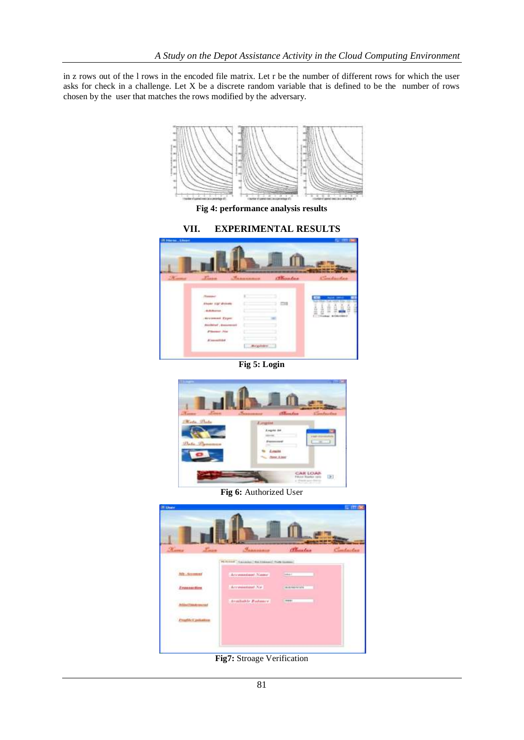in z rows out of the l rows in the encoded file matrix. Let r be the number of different rows for which the user asks for check in a challenge. Let X be a discrete random variable that is defined to be the number of rows chosen by the user that matches the rows modified by the adversary.



**Fig 4: performance analysis results**



**Fig 5: Login**



**Fig 6:** Authorized User



**Fig7:** Stroage Verification